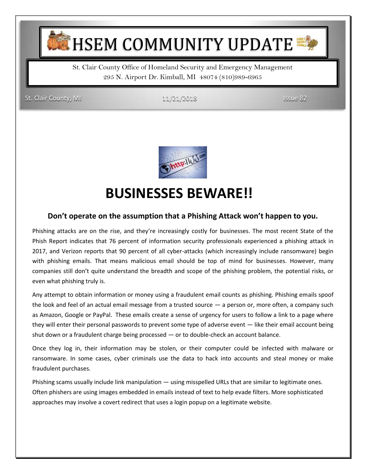**HSEM COMMUNITY UPDATE** 

St. Clair County Office of Homeland Security and Emergency Management 295 N. Airport Dr. Kimball, MI 48074 (810)989-6965

St. Clair County, MI 11/21/2018 Issue 82



## **BUSINESSES BEWARE!!**

#### **Don't operate on the assumption that a Phishing Attack won't happen to you.**

Phishing attacks are on the rise, and they're increasingly costly for businesses. The most recent State of the Phish Report indicates that 76 percent of information security professionals experienced a phishing attack in 2017, and Verizon reports that 90 percent of all cyber-attacks (which increasingly include ransomware) begin with phishing emails. That means malicious email should be top of mind for businesses. However, many companies still don't quite understand the breadth and scope of the phishing problem, the potential risks, or even what phishing truly is.

Any attempt to obtain information or money using a fraudulent email counts as phishing. Phishing emails spoof the look and feel of an actual email message from a trusted source — a person or, more often, a company such as Amazon, Google or PayPal. These emails create a sense of urgency for users to follow a link to a page where they will enter their personal passwords to prevent some type of adverse event — like their email account being shut down or a fraudulent charge being processed — or to double-check an account balance.

Once they log in, their information may be stolen, or their computer could be infected with malware or ransomware. In some cases, cyber criminals use the data to hack into accounts and steal money or make fraudulent purchases.

Phishing scams usually include link manipulation — using misspelled URLs that are similar to legitimate ones. Often phishers are using images embedded in emails instead of text to help evade filters. More sophisticated approaches may involve a covert redirect that uses a login popup on a legitimate website.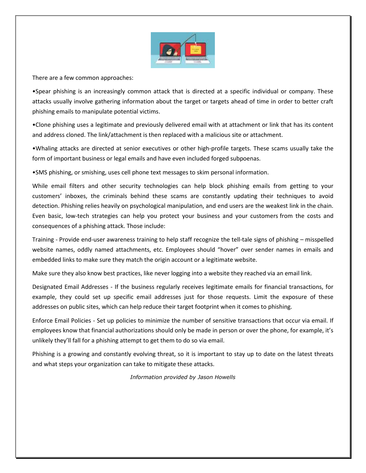

There are a few common approaches:

•Spear phishing is an increasingly common attack that is directed at a specific individual or company. These attacks usually involve gathering information about the target or targets ahead of time in order to better craft phishing emails to manipulate potential victims.

•Clone phishing uses a legitimate and previously delivered email with at attachment or link that has its content and address cloned. The link/attachment is then replaced with a malicious site or attachment.

•Whaling attacks are directed at senior executives or other high-profile targets. These scams usually take the form of important business or legal emails and have even included forged subpoenas.

•SMS phishing, or smishing, uses cell phone text messages to skim personal information.

While email filters and other security technologies can help block phishing emails from getting to your customers' inboxes, the criminals behind these scams are constantly updating their techniques to avoid detection. Phishing relies heavily on psychological manipulation, and end users are the weakest link in the chain. Even basic, low-tech strategies can help you protect your business and your customers from the costs and consequences of a phishing attack. Those include:

Training - Provide end-user awareness training to help staff recognize the tell-tale signs of phishing – misspelled website names, oddly named attachments, etc. Employees should "hover" over sender names in emails and embedded links to make sure they match the origin account or a legitimate website.

Make sure they also know best practices, like never logging into a website they reached via an email link.

Designated Email Addresses - If the business regularly receives legitimate emails for financial transactions, for example, they could set up specific email addresses just for those requests. Limit the exposure of these addresses on public sites, which can help reduce their target footprint when it comes to phishing.

Enforce Email Policies - Set up policies to minimize the number of sensitive transactions that occur via email. If employees know that financial authorizations should only be made in person or over the phone, for example, it's unlikely they'll fall for a phishing attempt to get them to do so via email.

Phishing is a growing and constantly evolving threat, so it is important to stay up to date on the latest threats and what steps your organization can take to mitigate these attacks.

*Information provided by Jason Howells*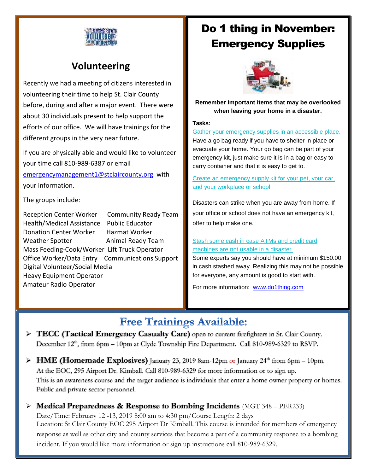

#### **Volunteering**

Recently we had a meeting of citizens interested in volunteering their time to help St. Clair County before, during and after a major event. There were about 30 individuals present to help support the efforts of our office. We will have trainings for the different groups in the very near future.

If you are physically able and would like to volunteer your time call 810-989-6387 or email

[emergencymanagement1@stclaircounty.org](mailto:emergencymanagement1@stclaircounty.org) with your information.

The groups include:

Reception Center Worker Community Ready Team Health/Medical Assistance Public Educator Donation Center Worker Hazmat Worker Weather Spotter **Animal Ready Team** Mass Feeding-Cook/Worker Lift Truck Operator Office Worker/Data Entry Communications Support Digital Volunteer/Social Media Heavy Equipment Operator Amateur Radio Operator

## Do 1 thing in November: Emergency Supplies



**Remember important items that may be overlooked when leaving your home in a disaster.**

#### **Tasks:**

[Gather your emergency supplies in an accessible place.](https://do1thing.us9.list-manage.com/track/click?u=035ce122cd759f1206d70dbbc&id=cacb4cdd30&e=1e1dda77ee)  Have a go bag ready if you have to shelter in place or evacuate your home. Your go bag can be part of your emergency kit, just make sure it is in a bag or easy to carry container and that it is easy to get to.

[Create an emergency supply kit for your pet, your car,](https://do1thing.us9.list-manage.com/track/click?u=035ce122cd759f1206d70dbbc&id=4a0f7b2948&e=1e1dda77ee)  [and your workplace or school.](https://do1thing.us9.list-manage.com/track/click?u=035ce122cd759f1206d70dbbc&id=4a0f7b2948&e=1e1dda77ee) 

Disasters can strike when you are away from home. If your office or school does not have an emergency kit, offer to help make one.

#### [Stash some cash in case ATMs and credit card](https://do1thing.us9.list-manage.com/track/click?u=035ce122cd759f1206d70dbbc&id=89a9d5cf97&e=1e1dda77ee)  [machines are not usable in a disaster.](https://do1thing.us9.list-manage.com/track/click?u=035ce122cd759f1206d70dbbc&id=89a9d5cf97&e=1e1dda77ee)

Some experts say you should have at minimum \$150.00 in cash stashed away. Realizing this may not be possible for everyone, any amount is good to start with.

For more information: [www.do1thing.com](http://www.do1thing.com/)

### **Free Trainings Available:**

- **TECC (Tactical Emergency Casualty Care)** open to current firefighters in St. Clair County. December 12<sup>th</sup>, from 6pm – 10pm at Clyde Township Fire Department. Call 810-989-6329 to RSVP.
- ▶ **HME (Homemade Explosives)** January 23, 2019 8am-12pm or January 24<sup>th</sup> from 6pm 10pm. At the EOC, 295 Airport Dr. Kimball. Call 810-989-6329 for more information or to sign up. This is an awareness course and the target audience is individuals that enter a home owner property or homes. Public and private sector personnel.
- **Medical Preparedness & Response to Bombing Incidents** (MGT 348 PER233) Date/Time: February 12 -13, 2019 8:00 am to 4:30 pm/Course Length: 2 days Location: St Clair County EOC 295 Airport Dr Kimball. This course is intended for members of emergency response as well as other city and county services that become a part of a community response to a bombing incident. If you would like more information or sign up instructions call 810-989-6329.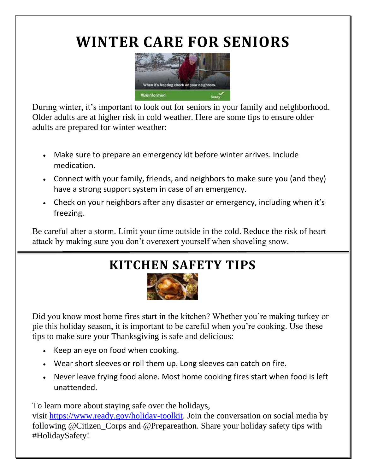# **WINTER CARE FOR SENIORS**



During winter, it's important to look out for seniors in your family and neighborhood. Older adults are at higher risk in cold weather. Here are some tips to ensure older adults are prepared for winter weather:

- Make sure to prepare an emergency kit before winter arrives. Include medication.
- Connect with your family, friends, and neighbors to make sure you (and they) have a strong support system in case of an emergency.
- Check on your neighbors after any disaster or emergency, including when it's freezing.

Be careful after a storm. Limit your time outside in the cold. Reduce the risk of heart attack by making sure you don't overexert yourself when shoveling snow.

## **KITCHEN SAFETY TIPS**



Did you know most home fires start in the kitchen? Whether you're making turkey or pie this holiday season, it is important to be careful when you're cooking. Use these tips to make sure your Thanksgiving is safe and delicious:

- Keep an eye on food when cooking.
- Wear short sleeves or roll them up. Long sleeves can catch on fire.
- Never leave frying food alone. Most home cooking fires start when food is left unattended.

To learn more about staying safe over the holidays,

visit [https://www.ready.gov/holiday-toolkit.](http://links.govdelivery.com/track?type=click&enid=ZWFzPTEmbWFpbGluZ2lkPTIwMTgxMTE2Ljk3NzIzMzkxJm1lc3NhZ2VpZD1NREItUFJELUJVTC0yMDE4MTExNi45NzcyMzM5MSZkYXRhYmFzZWlkPTEwMDEmc2VyaWFsPTE3NTY0ODkzJmVtYWlsaWQ9amZyaWVkbGFuZEBzdGNsYWlyY291bnR5Lm9yZyZ1c2VyaWQ9amZyaWVkbGFuZEBzdGNsYWlyY291bnR5Lm9yZyZmbD0mZXh0cmE9TXVsdGl2YXJpYXRlSWQ9JiYm&&&101&&&https://www.ready.gov/holiday-toolkit) Join the conversation on social media by following @Citizen\_Corps and @Prepareathon. Share your holiday safety tips with #HolidaySafety!